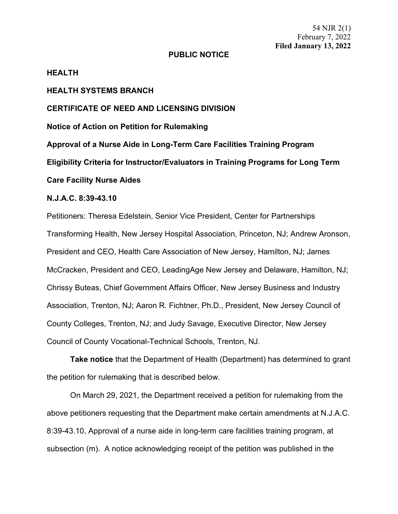54 NJR 2(1) February 7, 2022 **Filed January 13, 2022**

### **PUBLIC NOTICE**

### **HEALTH**

# **HEALTH SYSTEMS BRANCH**

## **CERTIFICATE OF NEED AND LICENSING DIVISION**

**Notice of Action on Petition for Rulemaking**

**Approval of a Nurse Aide in Long-Term Care Facilities Training Program Eligibility Criteria for Instructor/Evaluators in Training Programs for Long Term Care Facility Nurse Aides**

### **N.J.A.C. 8:39-43.10**

Petitioners: Theresa Edelstein, Senior Vice President, Center for Partnerships Transforming Health, New Jersey Hospital Association, Princeton, NJ; Andrew Aronson, President and CEO, Health Care Association of New Jersey, Hamilton, NJ; James McCracken, President and CEO, LeadingAge New Jersey and Delaware, Hamilton, NJ; Chrissy Buteas, Chief Government Affairs Officer, New Jersey Business and Industry Association, Trenton, NJ; Aaron R. Fichtner, Ph.D., President, New Jersey Council of County Colleges, Trenton, NJ; and Judy Savage, Executive Director, New Jersey Council of County Vocational-Technical Schools, Trenton, NJ.

**Take notice** that the Department of Health (Department) has determined to grant the petition for rulemaking that is described below.

On March 29, 2021, the Department received a petition for rulemaking from the above petitioners requesting that the Department make certain amendments at N.J.A.C. 8:39-43.10, Approval of a nurse aide in long-term care facilities training program, at subsection (m). A notice acknowledging receipt of the petition was published in the